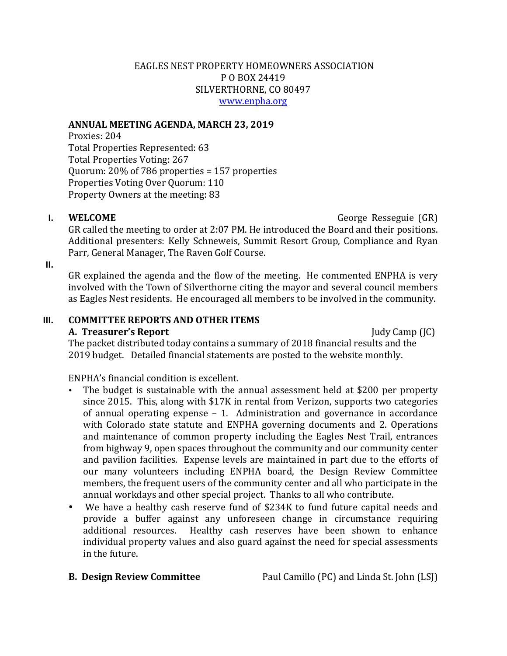# EAGLES NEST PROPERTY HOMEOWNERS ASSOCIATION P O BOX 24419 SILVERTHORNE, CO 80497 www.enpha.org

### ANNUAL MEETING AGENDA, MARCH 23, 2019

Proxies: 204 Total Properties Represented: 63 Total Properties Voting: 267 Quorum:  $20\%$  of 786 properties = 157 properties Properties Voting Over Ouorum: 110 Property Owners at the meeting: 83

**I. WELCOME** *CEOME CEOME CEOME* **<b>***CEOPE CEOPE GR) George Resseguie (GR)* 

GR called the meeting to order at 2:07 PM. He introduced the Board and their positions. Additional presenters: Kelly Schneweis, Summit Resort Group, Compliance and Ryan Parr, General Manager, The Raven Golf Course.

**II.**

GR explained the agenda and the flow of the meeting. He commented ENPHA is very involved with the Town of Silverthorne citing the mayor and several council members as Eagles Nest residents. He encouraged all members to be involved in the community.

# **III. COMMITTEE REPORTS AND OTHER ITEMS A. Treasurer's Report** Judy Camp (JC)

The packet distributed today contains a summary of 2018 financial results and the 2019 budget. Detailed financial statements are posted to the website monthly.

ENPHA's financial condition is excellent.

- The budget is sustainable with the annual assessment held at \$200 per property since  $2015$ . This, along with \$17K in rental from Verizon, supports two categories of annual operating expense  $-1$ . Administration and governance in accordance with Colorado state statute and ENPHA governing documents and 2. Operations and maintenance of common property including the Eagles Nest Trail, entrances from highway 9, open spaces throughout the community and our community center and pavilion facilities. Expense levels are maintained in part due to the efforts of our many volunteers including ENPHA board, the Design Review Committee members, the frequent users of the community center and all who participate in the annual workdays and other special project. Thanks to all who contribute.
- We have a healthy cash reserve fund of \$234K to fund future capital needs and provide a buffer against any unforeseen change in circumstance requiring additional resources. Healthy cash reserves have been shown to enhance individual property values and also guard against the need for special assessments in the future.

**B. Design Review Committee Paul Camillo (PC)** and Linda St. John (LSJ)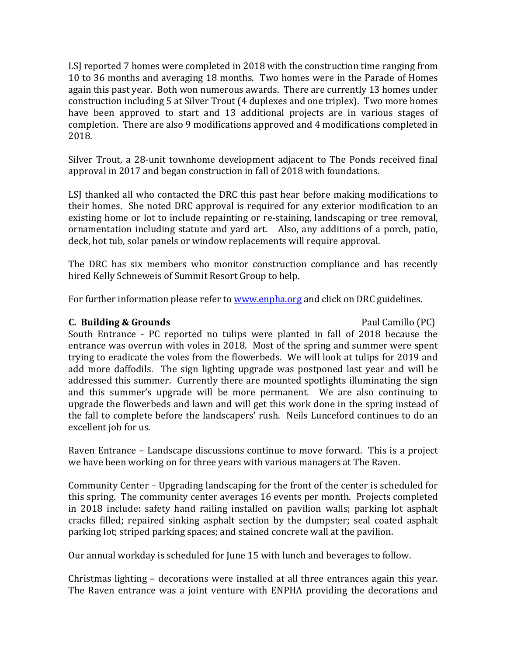LSI reported 7 homes were completed in 2018 with the construction time ranging from 10 to 36 months and averaging 18 months. Two homes were in the Parade of Homes again this past year. Both won numerous awards. There are currently 13 homes under construction including 5 at Silver Trout (4 duplexes and one triplex). Two more homes have been approved to start and 13 additional projects are in various stages of completion. There are also 9 modifications approved and 4 modifications completed in 2018.

Silver Trout, a 28-unit townhome development adjacent to The Ponds received final approval in 2017 and began construction in fall of 2018 with foundations.

LSJ thanked all who contacted the DRC this past hear before making modifications to their homes. She noted DRC approval is required for any exterior modification to an existing home or lot to include repainting or re-staining, landscaping or tree removal, ornamentation including statute and yard art. Also, any additions of a porch, patio, deck, hot tub, solar panels or window replacements will require approval.

The DRC has six members who monitor construction compliance and has recently hired Kelly Schneweis of Summit Resort Group to help.

For further information please refer to www.enpha.org and click on DRC guidelines.

# **C. Building & Grounds**  Paul Camillo (PC)

South Entrance - PC reported no tulips were planted in fall of 2018 because the entrance was overrun with voles in 2018. Most of the spring and summer were spent trying to eradicate the voles from the flowerbeds. We will look at tulips for 2019 and add more daffodils. The sign lighting upgrade was postponed last year and will be addressed this summer. Currently there are mounted spotlights illuminating the sign and this summer's upgrade will be more permanent. We are also continuing to upgrade the flowerbeds and lawn and will get this work done in the spring instead of the fall to complete before the landscapers' rush. Neils Lunceford continues to do an excellent job for us.

Raven Entrance – Landscape discussions continue to move forward. This is a project we have been working on for three years with various managers at The Raven.

Community Center – Upgrading landscaping for the front of the center is scheduled for this spring. The community center averages 16 events per month. Projects completed in 2018 include: safety hand railing installed on pavilion walls; parking lot asphalt cracks filled; repaired sinking asphalt section by the dumpster; seal coated asphalt parking lot; striped parking spaces; and stained concrete wall at the pavilion.

Our annual workday is scheduled for June 15 with lunch and beverages to follow.

Christmas lighting – decorations were installed at all three entrances again this year. The Raven entrance was a joint venture with ENPHA providing the decorations and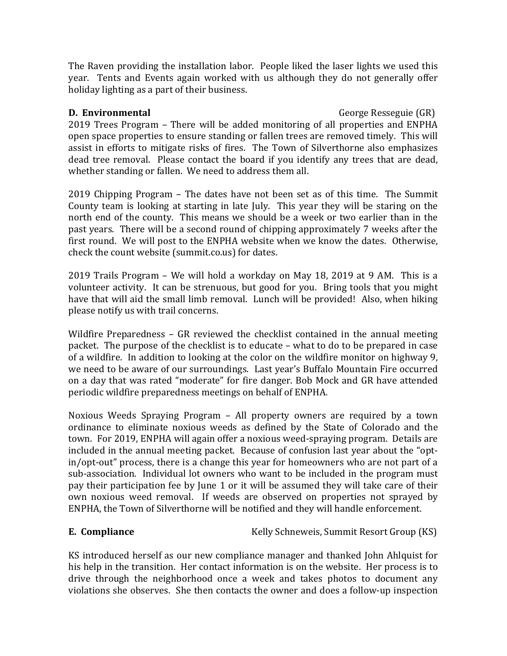The Raven providing the installation labor. People liked the laser lights we used this year. Tents and Events again worked with us although they do not generally offer holiday lighting as a part of their business.

**D. Environmental** George Resseguie (GR)

2019 Trees Program – There will be added monitoring of all properties and ENPHA open space properties to ensure standing or fallen trees are removed timely. This will assist in efforts to mitigate risks of fires. The Town of Silverthorne also emphasizes dead tree removal. Please contact the board if you identify any trees that are dead, whether standing or fallen. We need to address them all.

2019 Chipping Program – The dates have not been set as of this time. The Summit County team is looking at starting in late July. This year they will be staring on the north end of the county. This means we should be a week or two earlier than in the past years. There will be a second round of chipping approximately 7 weeks after the first round. We will post to the ENPHA website when we know the dates. Otherwise, check the count website (summit.co.us) for dates.

 $2019$  Trails Program – We will hold a workday on May 18, 2019 at 9 AM. This is a volunteer activity. It can be strenuous, but good for you. Bring tools that you might have that will aid the small limb removal. Lunch will be provided! Also, when hiking please notify us with trail concerns.

Wildfire Preparedness  $-$  GR reviewed the checklist contained in the annual meeting packet. The purpose of the checklist is to educate – what to do to be prepared in case of a wildfire. In addition to looking at the color on the wildfire monitor on highway 9, we need to be aware of our surroundings. Last year's Buffalo Mountain Fire occurred on a day that was rated "moderate" for fire danger. Bob Mock and GR have attended periodic wildfire preparedness meetings on behalf of ENPHA.

Noxious Weeds Spraying Program – All property owners are required by a town ordinance to eliminate noxious weeds as defined by the State of Colorado and the town. For 2019, ENPHA will again offer a noxious weed-spraying program. Details are included in the annual meeting packet. Because of confusion last year about the "optin/opt-out" process, there is a change this year for homeowners who are not part of a sub-association. Individual lot owners who want to be included in the program must pay their participation fee by June 1 or it will be assumed they will take care of their own noxious weed removal. If weeds are observed on properties not sprayed by ENPHA, the Town of Silverthorne will be notified and they will handle enforcement.

**E. Compliance** Kelly Schneweis, Summit Resort Group (KS)

KS introduced herself as our new compliance manager and thanked John Ahlquist for his help in the transition. Her contact information is on the website. Her process is to drive through the neighborhood once a week and takes photos to document any violations she observes. She then contacts the owner and does a follow-up inspection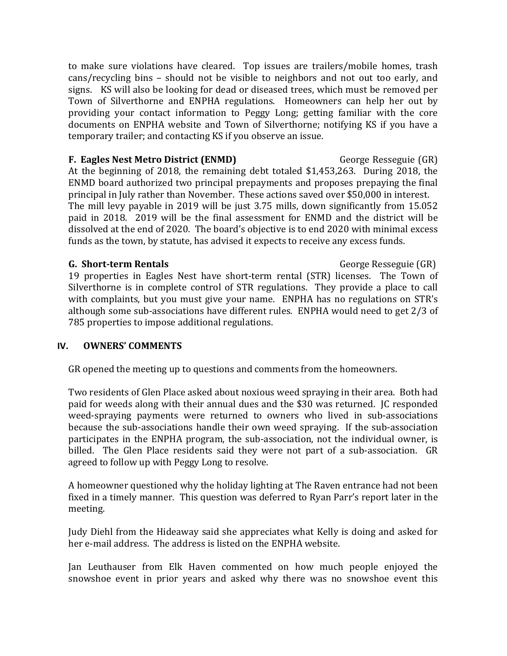to make sure violations have cleared. Top issues are trailers/mobile homes, trash cans/recycling bins – should not be visible to neighbors and not out too early, and signs. KS will also be looking for dead or diseased trees, which must be removed per Town of Silverthorne and ENPHA regulations. Homeowners can help her out by providing your contact information to Peggy Long; getting familiar with the core documents on ENPHA website and Town of Silverthorne; notifying KS if you have a temporary trailer; and contacting KS if you observe an issue.

**F. Eagles Nest Metro District (ENMD)** George Resseguie (GR) At the beginning of 2018, the remaining debt totaled \$1,453,263. During 2018, the ENMD board authorized two principal prepayments and proposes prepaying the final principal in July rather than November. These actions saved over \$50,000 in interest. The mill levy payable in 2019 will be just 3.75 mills, down significantly from 15.052 paid in 2018. 2019 will be the final assessment for ENMD and the district will be dissolved at the end of 2020. The board's objective is to end 2020 with minimal excess funds as the town, by statute, has advised it expects to receive any excess funds.

### **G.** Short-term Rentals **Community** George Resseguie (GR)

19 properties in Eagles Nest have short-term rental (STR) licenses. The Town of Silverthorne is in complete control of STR regulations. They provide a place to call with complaints, but you must give your name. ENPHA has no regulations on STR's although some sub-associations have different rules. ENPHA would need to get 2/3 of 785 properties to impose additional regulations.

# **IV. OWNERS' COMMENTS**

GR opened the meeting up to questions and comments from the homeowners.

Two residents of Glen Place asked about noxious weed spraying in their area. Both had paid for weeds along with their annual dues and the \$30 was returned. IC responded weed-spraying payments were returned to owners who lived in sub-associations because the sub-associations handle their own weed spraying. If the sub-association participates in the ENPHA program, the sub-association, not the individual owner, is billed. The Glen Place residents said they were not part of a sub-association. GR agreed to follow up with Peggy Long to resolve.

A homeowner questioned why the holiday lighting at The Raven entrance had not been fixed in a timely manner. This question was deferred to Ryan Parr's report later in the meeting.

Judy Diehl from the Hideaway said she appreciates what Kelly is doing and asked for her e-mail address. The address is listed on the ENPHA website.

Jan Leuthauser from Elk Haven commented on how much people enjoyed the snowshoe event in prior years and asked why there was no snowshoe event this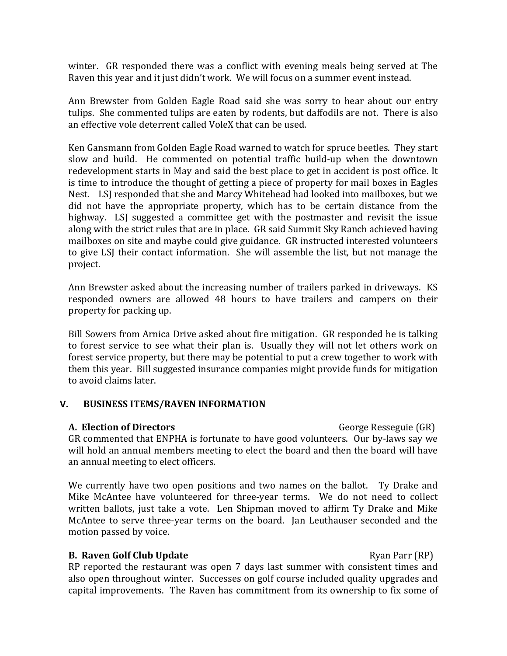winter. GR responded there was a conflict with evening meals being served at The Raven this year and it just didn't work. We will focus on a summer event instead.

Ann Brewster from Golden Eagle Road said she was sorry to hear about our entry tulips. She commented tulips are eaten by rodents, but daffodils are not. There is also an effective vole deterrent called VoleX that can be used.

Ken Gansmann from Golden Eagle Road warned to watch for spruce beetles. They start slow and build. He commented on potential traffic build-up when the downtown redevelopment starts in May and said the best place to get in accident is post office. It is time to introduce the thought of getting a piece of property for mail boxes in Eagles Nest. LSJ responded that she and Marcy Whitehead had looked into mailboxes, but we did not have the appropriate property, which has to be certain distance from the highway. LSJ suggested a committee get with the postmaster and revisit the issue along with the strict rules that are in place. GR said Summit Sky Ranch achieved having mailboxes on site and maybe could give guidance. GR instructed interested volunteers to give LSJ their contact information. She will assemble the list, but not manage the project.

Ann Brewster asked about the increasing number of trailers parked in driveways. KS responded owners are allowed 48 hours to have trailers and campers on their property for packing up.

Bill Sowers from Arnica Drive asked about fire mitigation. GR responded he is talking to forest service to see what their plan is. Usually they will not let others work on forest service property, but there may be potential to put a crew together to work with them this year. Bill suggested insurance companies might provide funds for mitigation to avoid claims later.

### **V. BUSINESS ITEMS/RAVEN INFORMATION**

### **A. Election of Directors** George Resseguie (GR)

GR commented that ENPHA is fortunate to have good volunteers. Our by-laws say we will hold an annual members meeting to elect the board and then the board will have an annual meeting to elect officers.

We currently have two open positions and two names on the ballot. Ty Drake and Mike McAntee have volunteered for three-year terms. We do not need to collect written ballots, just take a vote. Len Shipman moved to affirm Ty Drake and Mike McAntee to serve three-year terms on the board. Jan Leuthauser seconded and the motion passed by voice.

# **B. Raven Golf Club Update** Ryan Parr (RP)

 $RP$  reported the restaurant was open  $7$  days last summer with consistent times and also open throughout winter. Successes on golf course included quality upgrades and capital improvements. The Raven has commitment from its ownership to fix some of